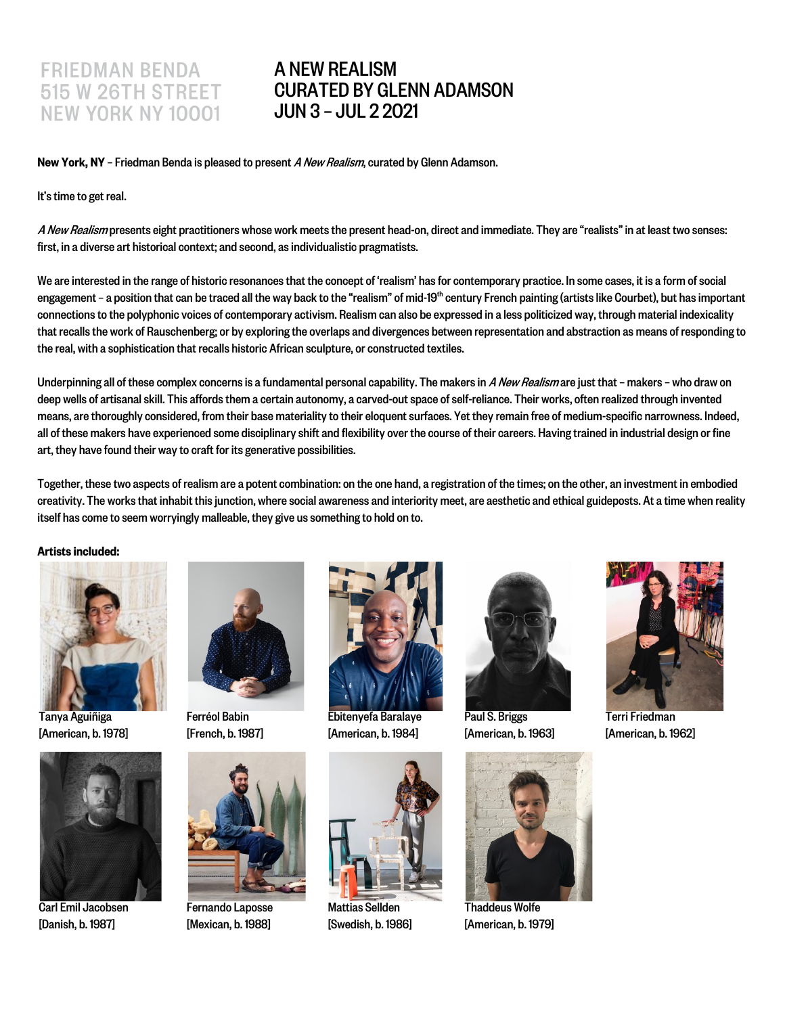## **FRIEDMAN BENDA 515 W 26TH STREET NEW YORK NY 10001**

## A NEW REALISM CURATED BY GLENN ADAMSON JUN 3 – JUL 2 2021

New York, NY – Friedman Benda is pleased to present A New Realism, curated by Glenn Adamson.

It's time to get real.

A New Realism presents eight practitioners whose work meets the present head-on, direct and immediate. They are "realists" in at least two senses: first, in a diverse art historical context; and second, as individualistic pragmatists.

We are interested in the range of historic resonances that the concept of 'realism' has for contemporary practice. In some cases, it is a form of social engagement – a position that can be traced all the way back to the "realism" of mid-19<sup>th</sup> century French painting (artists like Courbet), but has important connections to the polyphonic voices of contemporary activism. Realism can also be expressed in a less politicized way, through material indexicality that recalls the work of Rauschenberg; or by exploring the overlaps and divergences between representation and abstraction as means of responding to the real, with a sophistication that recalls historic African sculpture, or constructed textiles.

Underpinning all of these complex concerns is a fundamental personal capability. The makers in A New Realismare just that - makers - who draw on deep wells of artisanal skill. This affords them a certain autonomy, a carved-out space of self-reliance. Their works, often realized through invented means, are thoroughly considered, from their base materiality to their eloquent surfaces. Yet they remain free of medium-specific narrowness. Indeed, all of these makers have experienced some disciplinary shift and flexibility over the course of their careers. Having trained in industrial design or fine art, they have found their way to craft for its generative possibilities.

Together, these two aspects of realism are a potent combination: on the one hand, a registration of the times; on the other, an investment in embodied creativity. The works that inhabit this junction, where social awareness and interiority meet, are aesthetic and ethical guideposts. At a time when reality itself has come to seem worryingly malleable, they give us something to hold on to.

Artists included:



Tanya Aguiñiga [American, b. 1978]



Carl Emil Jacobsen [Danish, b. 1987]



Ferréol Babin [French, b. 1987]



Fernando Laposse [Mexican, b. 1988]



Ebitenyefa Baralaye [American, b. 1984]



Mattias Sellden [Swedish, b. 1986]



Paul S. Briggs [American, b. 1963]



ThaddeusWolfe [American, b. 1979]



Terri Friedman [American, b. 1962]